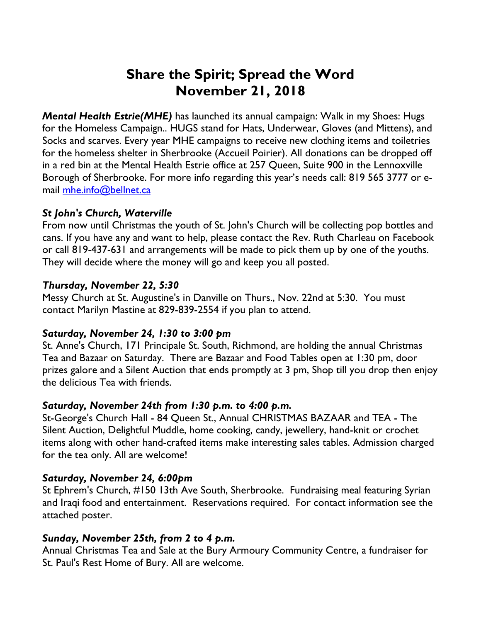# **Share the Spirit; Spread the Word November 21, 2018**

*Mental Health Estrie(MHE)* has launched its annual campaign: Walk in my Shoes: Hugs for the Homeless Campaign.. HUGS stand for Hats, Underwear, Gloves (and Mittens), and Socks and scarves. Every year MHE campaigns to receive new clothing items and toiletries for the homeless shelter in Sherbrooke (Accueil Poirier). All donations can be dropped off in a red bin at the Mental Health Estrie office at 257 Queen, Suite 900 in the Lennoxville Borough of Sherbrooke. For more info regarding this year's needs call: 819 565 3777 or email mhe.info@bellnet.ca

## *St John's Church, Waterville*

From now until Christmas the youth of St. John's Church will be collecting pop bottles and cans. If you have any and want to help, please contact the Rev. Ruth Charleau on Facebook or call 819-437-631 and arrangements will be made to pick them up by one of the youths. They will decide where the money will go and keep you all posted.

### *Thursday, November 22, 5:30*

Messy Church at St. Augustine's in Danville on Thurs., Nov. 22nd at 5:30. You must contact Marilyn Mastine at 829-839-2554 if you plan to attend.

# *Saturday, November 24, 1:30 to 3:00 pm*

St. Anne's Church, 171 Principale St. South, Richmond, are holding the annual Christmas Tea and Bazaar on Saturday. There are Bazaar and Food Tables open at 1:30 pm, door prizes galore and a Silent Auction that ends promptly at 3 pm, Shop till you drop then enjoy the delicious Tea with friends.

### *Saturday, November 24th from 1:30 p.m. to 4:00 p.m.*

St-George's Church Hall - 84 Queen St., Annual CHRISTMAS BAZAAR and TEA - The Silent Auction, Delightful Muddle, home cooking, candy, jewellery, hand-knit or crochet items along with other hand-crafted items make interesting sales tables. Admission charged for the tea only. All are welcome!

# *Saturday, November 24, 6:00pm*

St Ephrem's Church, #150 13th Ave South, Sherbrooke. Fundraising meal featuring Syrian and Iraqi food and entertainment. Reservations required. For contact information see the attached poster.

### *Sunday, November 25th, from 2 to 4 p.m.*

Annual Christmas Tea and Sale at the Bury Armoury Community Centre, a fundraiser for St. Paul's Rest Home of Bury. All are welcome.